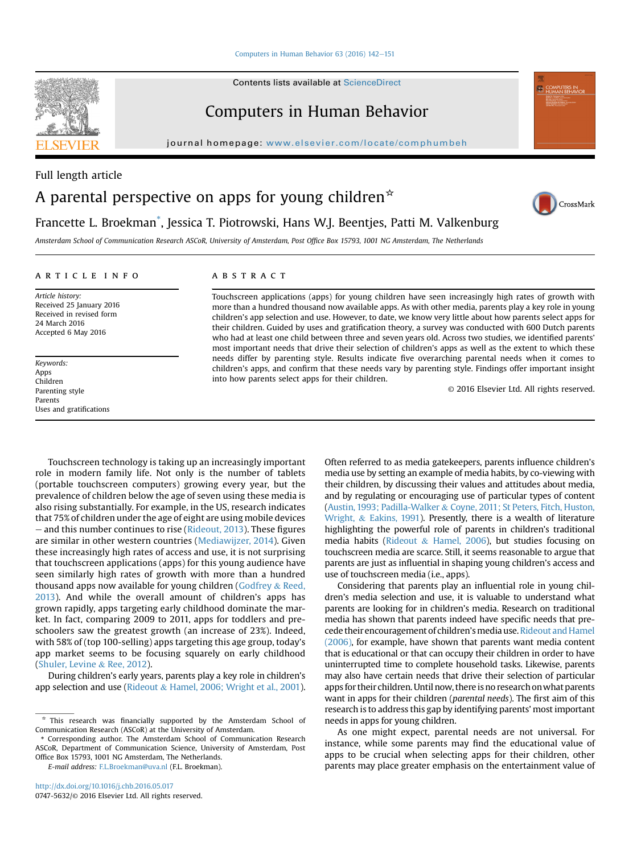#### Computers in Human Behavior  $63$  (2016) 142-[151](http://dx.doi.org/10.1016/j.chb.2016.05.017)

Contents lists available at ScienceDirect

## Computers in Human Behavior

journal homepage: <www.elsevier.com/locate/comphumbeh>

## Full length article

## A parental perspective on apps for young children<sup>\*</sup>



# Francette L. Broekman\* , Jessica T. Piotrowski, Hans W.J. Beentjes, Patti M. Valkenburg

Amsterdam School of Communication Research ASCoR, University of Amsterdam, Post Office Box 15793, 1001 NG Amsterdam, The Netherlands

#### article info

Article history: Received 25 January 2016 Received in revised form 24 March 2016 Accepted 6 May 2016

Keywords: Apps Children Parenting style Parents Uses and gratifications

## **ABSTRACT**

Touchscreen applications (apps) for young children have seen increasingly high rates of growth with more than a hundred thousand now available apps. As with other media, parents play a key role in young children's app selection and use. However, to date, we know very little about how parents select apps for their children. Guided by uses and gratification theory, a survey was conducted with 600 Dutch parents who had at least one child between three and seven years old. Across two studies, we identified parents' most important needs that drive their selection of children's apps as well as the extent to which these needs differ by parenting style. Results indicate five overarching parental needs when it comes to children's apps, and confirm that these needs vary by parenting style. Findings offer important insight into how parents select apps for their children.

© 2016 Elsevier Ltd. All rights reserved.

Touchscreen technology is taking up an increasingly important role in modern family life. Not only is the number of tablets (portable touchscreen computers) growing every year, but the prevalence of children below the age of seven using these media is also rising substantially. For example, in the US, research indicates that 75% of children under the age of eight are using mobile devices  $e$  – and this number continues to rise [\(Rideout, 2013\)](#page-9-0). These figures are similar in other western countries ([Mediawijzer, 2014](#page-9-0)). Given these increasingly high rates of access and use, it is not surprising that touchscreen applications (apps) for this young audience have seen similarly high rates of growth with more than a hundred thousand apps now available for young children ([Godfrey](#page-8-0)  $&$  [Reed,](#page-8-0) [2013](#page-8-0)). And while the overall amount of children's apps has grown rapidly, apps targeting early childhood dominate the market. In fact, comparing 2009 to 2011, apps for toddlers and preschoolers saw the greatest growth (an increase of 23%). Indeed, with 58% of (top 100-selling) apps targeting this age group, today's app market seems to be focusing squarely on early childhood ([Shuler, Levine](#page-9-0) & [Ree, 2012\)](#page-9-0).

During children's early years, parents play a key role in children's app selection and use [\(Rideout](#page-9-0) & [Hamel, 2006; Wright et al., 2001](#page-9-0)).

E-mail address: [F.L.Broekman@uva.nl](mailto:F.L.Broekman@uva.nl) (F.L. Broekman).

Often referred to as media gatekeepers, parents influence children's media use by setting an example of media habits, by co-viewing with their children, by discussing their values and attitudes about media, and by regulating or encouraging use of particular types of content ([Austin, 1993; Padilla-Walker](#page-8-0) & [Coyne, 2011; St Peters, Fitch, Huston,](#page-8-0) [Wright,](#page-8-0) & [Eakins, 1991](#page-8-0)). Presently, there is a wealth of literature highlighting the powerful role of parents in children's traditional media habits ([Rideout](#page-9-0) & [Hamel, 2006\)](#page-9-0), but studies focusing on touchscreen media are scarce. Still, it seems reasonable to argue that parents are just as influential in shaping young children's access and use of touchscreen media (i.e., apps).

Considering that parents play an influential role in young children's media selection and use, it is valuable to understand what parents are looking for in children's media. Research on traditional media has shown that parents indeed have specific needs that pre-cede their encouragement of children's media use. [Rideout and Hamel](#page-9-0) [\(2006\),](#page-9-0) for example, have shown that parents want media content that is educational or that can occupy their children in order to have uninterrupted time to complete household tasks. Likewise, parents may also have certain needs that drive their selection of particular apps for their children. Until now, there is no research on what parents want in apps for their children (parental needs). The first aim of this research is to address this gap by identifying parents' most important needs in apps for young children.

As one might expect, parental needs are not universal. For instance, while some parents may find the educational value of apps to be crucial when selecting apps for their children, other parents may place greater emphasis on the entertainment value of



<sup>\*</sup> This research was financially supported by the Amsterdam School of Communication Research (ASCoR) at the University of Amsterdam.

<sup>\*</sup> Corresponding author. The Amsterdam School of Communication Research ASCoR, Department of Communication Science, University of Amsterdam, Post Office Box 15793, 1001 NG Amsterdam, The Netherlands.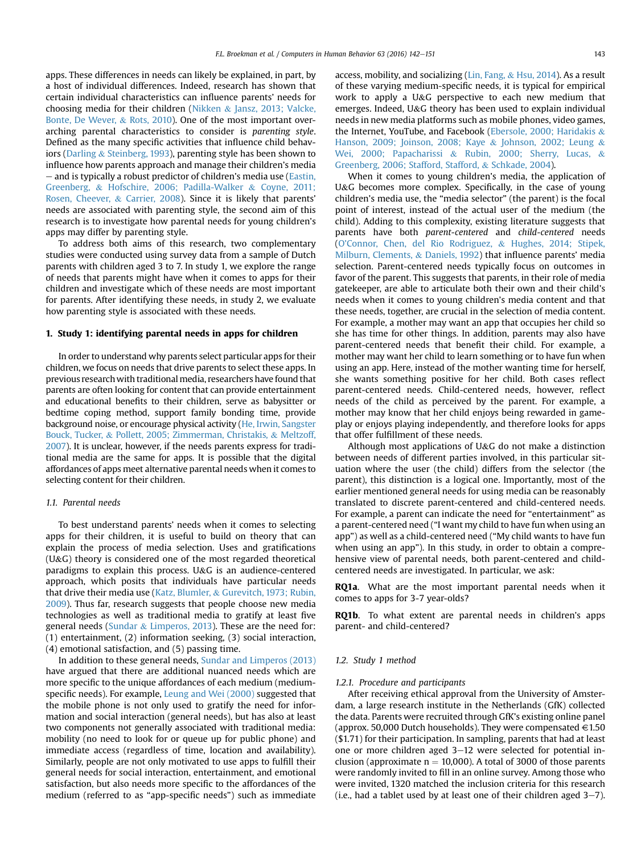apps. These differences in needs can likely be explained, in part, by a host of individual differences. Indeed, research has shown that certain individual characteristics can influence parents' needs for choosing media for their children ([Nikken](#page-9-0) & [Jansz, 2013; Valcke,](#page-9-0) [Bonte, De Wever,](#page-9-0) & [Rots, 2010\)](#page-9-0). One of the most important overarching parental characteristics to consider is parenting style. Defined as the many specific activities that influence child behaviors ([Darling](#page-8-0) & [Steinberg, 1993\)](#page-8-0), parenting style has been shown to influence how parents approach and manage their children's media  $-$  and is typically a robust predictor of children's media use ([Eastin,](#page-8-0) [Greenberg,](#page-8-0) & [Hofschire, 2006; Padilla-Walker](#page-8-0) & [Coyne, 2011;](#page-8-0) [Rosen, Cheever,](#page-8-0) & [Carrier, 2008\)](#page-8-0). Since it is likely that parents' needs are associated with parenting style, the second aim of this research is to investigate how parental needs for young children's apps may differ by parenting style.

To address both aims of this research, two complementary studies were conducted using survey data from a sample of Dutch parents with children aged 3 to 7. In study 1, we explore the range of needs that parents might have when it comes to apps for their children and investigate which of these needs are most important for parents. After identifying these needs, in study 2, we evaluate how parenting style is associated with these needs.

#### 1. Study 1: identifying parental needs in apps for children

In order to understand why parents select particular apps for their children, we focus on needs that drive parents to select these apps. In previous research with traditional media, researchers have found that parents are often looking for content that can provide entertainment and educational benefits to their children, serve as babysitter or bedtime coping method, support family bonding time, provide background noise, or encourage physical activity ([He, Irwin, Sangster](#page-8-0) [Bouck, Tucker,](#page-8-0) & [Pollett, 2005; Zimmerman, Christakis,](#page-8-0) & [Meltzoff,](#page-8-0) [2007](#page-8-0)). It is unclear, however, if the needs parents express for traditional media are the same for apps. It is possible that the digital affordances of apps meet alternative parental needs when it comes to selecting content for their children.

#### 1.1. Parental needs

To best understand parents' needs when it comes to selecting apps for their children, it is useful to build on theory that can explain the process of media selection. Uses and gratifications (U&G) theory is considered one of the most regarded theoretical paradigms to explain this process. U&G is an audience-centered approach, which posits that individuals have particular needs that drive their media use [\(Katz, Blumler,](#page-8-0) & [Gurevitch, 1973; Rubin,](#page-8-0) [2009\)](#page-8-0). Thus far, research suggests that people choose new media technologies as well as traditional media to gratify at least five general needs [\(Sundar](#page-9-0) & [Limperos, 2013](#page-9-0)). These are the need for: (1) entertainment, (2) information seeking, (3) social interaction, (4) emotional satisfaction, and (5) passing time.

In addition to these general needs, [Sundar and Limperos \(2013\)](#page-9-0) have argued that there are additional nuanced needs which are more specific to the unique affordances of each medium (mediumspecific needs). For example, [Leung and Wei \(2000\)](#page-9-0) suggested that the mobile phone is not only used to gratify the need for information and social interaction (general needs), but has also at least two components not generally associated with traditional media: mobility (no need to look for or queue up for public phone) and immediate access (regardless of time, location and availability). Similarly, people are not only motivated to use apps to fulfill their general needs for social interaction, entertainment, and emotional satisfaction, but also needs more specific to the affordances of the medium (referred to as "app-specific needs") such as immediate access, mobility, and socializing ([Lin, Fang,](#page-9-0) & [Hsu, 2014\)](#page-9-0). As a result of these varying medium-specific needs, it is typical for empirical work to apply a U&G perspective to each new medium that emerges. Indeed, U&G theory has been used to explain individual needs in new media platforms such as mobile phones, video games, the Internet, YouTube, and Facebook [\(Ebersole, 2000; Haridakis](#page-8-0) & [Hanson, 2009; Joinson, 2008; Kaye](#page-8-0) & [Johnson, 2002; Leung](#page-8-0) & [Wei, 2000; Papacharissi](#page-8-0) & [Rubin, 2000; Sherry, Lucas,](#page-8-0) & [Greenberg, 2006; Stafford, Stafford,](#page-8-0) & [Schkade, 2004\)](#page-8-0).

When it comes to young children's media, the application of U&G becomes more complex. Specifically, in the case of young children's media use, the "media selector" (the parent) is the focal point of interest, instead of the actual user of the medium (the child). Adding to this complexity, existing literature suggests that parents have both parent-centered and child-centered needs (O'[Connor, Chen, del Rio Rodriguez,](#page-9-0) & [Hughes, 2014; Stipek,](#page-9-0) [Milburn, Clements,](#page-9-0) & [Daniels, 1992](#page-9-0)) that influence parents' media selection. Parent-centered needs typically focus on outcomes in favor of the parent. This suggests that parents, in their role of media gatekeeper, are able to articulate both their own and their child's needs when it comes to young children's media content and that these needs, together, are crucial in the selection of media content. For example, a mother may want an app that occupies her child so she has time for other things. In addition, parents may also have parent-centered needs that benefit their child. For example, a mother may want her child to learn something or to have fun when using an app. Here, instead of the mother wanting time for herself, she wants something positive for her child. Both cases reflect parent-centered needs. Child-centered needs, however, reflect needs of the child as perceived by the parent. For example, a mother may know that her child enjoys being rewarded in gameplay or enjoys playing independently, and therefore looks for apps that offer fulfillment of these needs.

Although most applications of U&G do not make a distinction between needs of different parties involved, in this particular situation where the user (the child) differs from the selector (the parent), this distinction is a logical one. Importantly, most of the earlier mentioned general needs for using media can be reasonably translated to discrete parent-centered and child-centered needs. For example, a parent can indicate the need for "entertainment" as a parent-centered need ("I want my child to have fun when using an app") as well as a child-centered need ("My child wants to have fun when using an app"). In this study, in order to obtain a comprehensive view of parental needs, both parent-centered and childcentered needs are investigated. In particular, we ask:

RQ1a. What are the most important parental needs when it comes to apps for 3-7 year-olds?

RQ1b. To what extent are parental needs in children's apps parent- and child-centered?

## 1.2. Study 1 method

#### 1.2.1. Procedure and participants

After receiving ethical approval from the University of Amsterdam, a large research institute in the Netherlands (GfK) collected the data. Parents were recruited through GfK's existing online panel (approx. 50,000 Dutch households). They were compensated  $\in$ 1.50 (\$1.71) for their participation. In sampling, parents that had at least one or more children aged  $3-12$  were selected for potential inclusion (approximate  $n = 10,000$ ). A total of 3000 of those parents were randomly invited to fill in an online survey. Among those who were invited, 1320 matched the inclusion criteria for this research (i.e., had a tablet used by at least one of their children aged  $3-7$ ).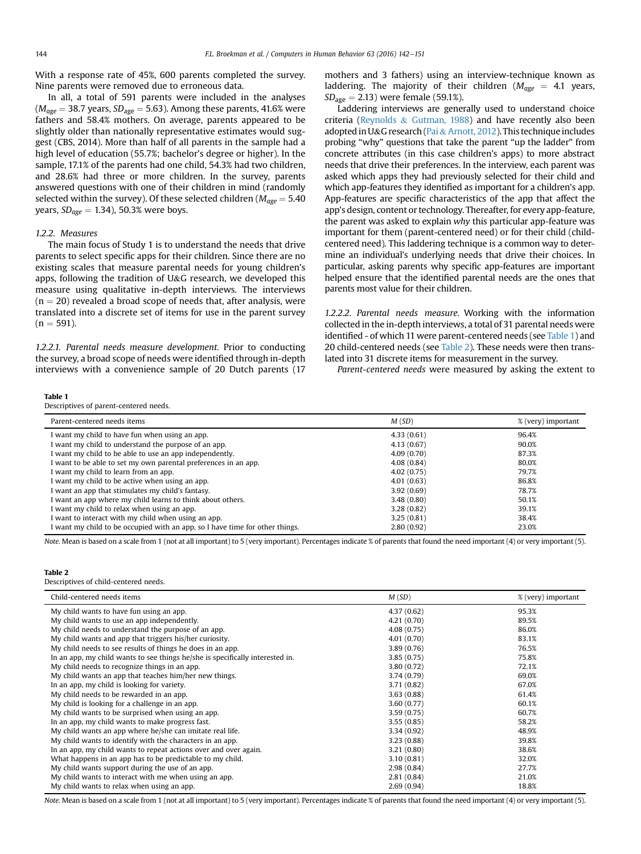With a response rate of 45%, 600 parents completed the survey. Nine parents were removed due to erroneous data.

In all, a total of 591 parents were included in the analyses  $(M_{age} = 38.7$  years,  $SD_{age} = 5.63$ ). Among these parents, 41.6% were fathers and 58.4% mothers. On average, parents appeared to be slightly older than nationally representative estimates would suggest (CBS, 2014). More than half of all parents in the sample had a high level of education (55.7%; bachelor's degree or higher). In the sample, 17.1% of the parents had one child, 54.3% had two children, and 28.6% had three or more children. In the survey, parents answered questions with one of their children in mind (randomly selected within the survey). Of these selected children ( $M_{age} = 5.40$ ) years,  $SD_{age} = 1.34$ ), 50.3% were boys.

## 1.2.2. Measures

The main focus of Study 1 is to understand the needs that drive parents to select specific apps for their children. Since there are no existing scales that measure parental needs for young children's apps, following the tradition of U&G research, we developed this measure using qualitative in-depth interviews. The interviews  $(n = 20)$  revealed a broad scope of needs that, after analysis, were translated into a discrete set of items for use in the parent survey  $(n = 591)$ .

1.2.2.1. Parental needs measure development. Prior to conducting the survey, a broad scope of needs were identified through in-depth interviews with a convenience sample of 20 Dutch parents (17 mothers and 3 fathers) using an interview-technique known as laddering. The majority of their children ( $M_{\text{age}} = 4.1$  years,  $SD<sub>age</sub> = 2.13$ ) were female (59.1%).

Laddering interviews are generally used to understand choice criteria [\(Reynolds](#page-9-0)  $& Gutman$ , 1988) and have recently also been adopted in U&G research [\(Pai](#page-9-0) & [Arnott, 2012](#page-9-0)). This technique includes probing "why" questions that take the parent "up the ladder" from concrete attributes (in this case children's apps) to more abstract needs that drive their preferences. In the interview, each parent was asked which apps they had previously selected for their child and which app-features they identified as important for a children's app. App-features are specific characteristics of the app that affect the app's design, content or technology. Thereafter, for every app-feature, the parent was asked to explain why this particular app-feature was important for them (parent-centered need) or for their child (childcentered need). This laddering technique is a common way to determine an individual's underlying needs that drive their choices. In particular, asking parents why specific app-features are important helped ensure that the identified parental needs are the ones that parents most value for their children.

1.2.2.2. Parental needs measure. Working with the information collected in the in-depth interviews, a total of 31 parental needs were identified - of which 11 were parent-centered needs (see Table 1) and 20 child-centered needs (see Table 2). These needs were then translated into 31 discrete items for measurement in the survey.

Parent-centered needs were measured by asking the extent to

|--|--|--|

Descriptives of parent-centered needs.

| Parent-centered needs items                                                  | M(SD)      | % (very) important |
|------------------------------------------------------------------------------|------------|--------------------|
| I want my child to have fun when using an app.                               | 4.33(0.61) | 96.4%              |
| I want my child to understand the purpose of an app.                         | 4.13(0.67) | 90.0%              |
| I want my child to be able to use an app independently.                      | 4.09(0.70) | 87.3%              |
| I want to be able to set my own parental preferences in an app.              | 4.08(0.84) | 80.0%              |
| I want my child to learn from an app.                                        | 4.02(0.75) | 79.7%              |
| I want my child to be active when using an app.                              | 4.01(0.63) | 86.8%              |
| I want an app that stimulates my child's fantasy.                            | 3.92(0.69) | 78.7%              |
| I want an app where my child learns to think about others.                   | 3.48(0.80) | 50.1%              |
| I want my child to relax when using an app.                                  | 3.28(0.82) | 39.1%              |
| I want to interact with my child when using an app.                          | 3.25(0.81) | 38.4%              |
| I want my child to be occupied with an app, so I have time for other things. | 2.80(0.92) | 23.0%              |

Note. Mean is based on a scale from 1 (not at all important) to 5 (very important). Percentages indicate % of parents that found the need important (4) or very important (5).

## Table 2

Descriptives of child-centered needs.

| Child-centered needs items                                                    | M(SD)      | % (very) important |
|-------------------------------------------------------------------------------|------------|--------------------|
| My child wants to have fun using an app.                                      | 4.37(0.62) | 95.3%              |
| My child wants to use an app independently.                                   | 4.21(0.70) | 89.5%              |
| My child needs to understand the purpose of an app.                           | 4.08(0.75) | 86.0%              |
| My child wants and app that triggers his/her curiosity.                       | 4.01(0.70) | 83.1%              |
| My child needs to see results of things he does in an app.                    | 3.89(0.76) | 76.5%              |
| In an app, my child wants to see things he/she is specifically interested in. | 3.85(0.75) | 75.8%              |
| My child needs to recognize things in an app.                                 | 3.80(0.72) | 72.1%              |
| My child wants an app that teaches him/her new things.                        | 3.74(0.79) | 69.0%              |
| In an app, my child is looking for variety.                                   | 3.71(0.82) | 67.0%              |
| My child needs to be rewarded in an app.                                      | 3.63(0.88) | 61.4%              |
| My child is looking for a challenge in an app.                                | 3.60(0.77) | 60.1%              |
| My child wants to be surprised when using an app.                             | 3.59(0.75) | 60.7%              |
| In an app, my child wants to make progress fast.                              | 3.55(0.85) | 58.2%              |
| My child wants an app where he/she can imitate real life.                     | 3.34(0.92) | 48.9%              |
| My child wants to identify with the characters in an app.                     | 3.23(0.88) | 39.8%              |
| In an app, my child wants to repeat actions over and over again.              | 3.21(0.80) | 38.6%              |
| What happens in an app has to be predictable to my child.                     | 3.10(0.81) | 32.0%              |
| My child wants support during the use of an app.                              | 2.98(0.84) | 27.7%              |
| My child wants to interact with me when using an app.                         | 2.81(0.84) | 21.0%              |
| My child wants to relax when using an app.                                    | 2.69(0.94) | 18.8%              |

Note. Mean is based on a scale from 1 (not at all important) to 5 (very important). Percentages indicate % of parents that found the need important (4) or very important (5).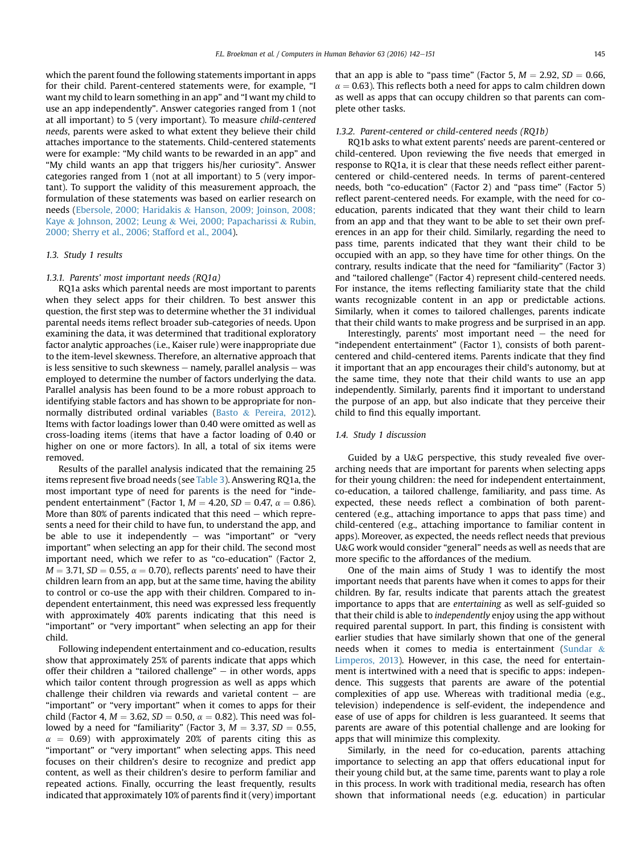which the parent found the following statements important in apps for their child. Parent-centered statements were, for example, "I want my child to learn something in an app" and "I want my child to use an app independently". Answer categories ranged from 1 (not at all important) to 5 (very important). To measure child-centered needs, parents were asked to what extent they believe their child attaches importance to the statements. Child-centered statements were for example: "My child wants to be rewarded in an app" and "My child wants an app that triggers his/her curiosity". Answer categories ranged from 1 (not at all important) to 5 (very important). To support the validity of this measurement approach, the formulation of these statements was based on earlier research on needs ([Ebersole, 2000; Haridakis](#page-8-0) & [Hanson, 2009; Joinson, 2008;](#page-8-0) [Kaye](#page-8-0) & [Johnson, 2002; Leung](#page-8-0) & [Wei, 2000; Papacharissi](#page-8-0) & [Rubin,](#page-8-0) [2000; Sherry et al., 2006; Stafford et al., 2004](#page-8-0)).

#### 1.3. Study 1 results

#### 1.3.1. Parents' most important needs (RQ1a)

RQ1a asks which parental needs are most important to parents when they select apps for their children. To best answer this question, the first step was to determine whether the 31 individual parental needs items reflect broader sub-categories of needs. Upon examining the data, it was determined that traditional exploratory factor analytic approaches (i.e., Kaiser rule) were inappropriate due to the item-level skewness. Therefore, an alternative approach that is less sensitive to such skewness  $-$  namely, parallel analysis  $-$  was employed to determine the number of factors underlying the data. Parallel analysis has been found to be a more robust approach to identifying stable factors and has shown to be appropriate for nonnormally distributed ordinal variables ([Basto](#page-8-0) & [Pereira, 2012\)](#page-8-0). Items with factor loadings lower than 0.40 were omitted as well as cross-loading items (items that have a factor loading of 0.40 or higher on one or more factors). In all, a total of six items were removed.

Results of the parallel analysis indicated that the remaining 25 items represent five broad needs (see [Table 3\)](#page-4-0). Answering RQ1a, the most important type of need for parents is the need for "independent entertainment" (Factor 1,  $M = 4.20$ ,  $SD = 0.47$ ,  $\alpha = 0.86$ ). More than 80% of parents indicated that this need  $-$  which represents a need for their child to have fun, to understand the app, and be able to use it independently  $-$  was "important" or "very important" when selecting an app for their child. The second most important need, which we refer to as "co-education" (Factor 2,  $M = 3.71$ ,  $SD = 0.55$ ,  $\alpha = 0.70$ ), reflects parents' need to have their children learn from an app, but at the same time, having the ability to control or co-use the app with their children. Compared to independent entertainment, this need was expressed less frequently with approximately 40% parents indicating that this need is "important" or "very important" when selecting an app for their child.

Following independent entertainment and co-education, results show that approximately 25% of parents indicate that apps which offer their children a "tailored challenge"  $-$  in other words, apps which tailor content through progression as well as apps which challenge their children via rewards and varietal content  $-$  are "important" or "very important" when it comes to apps for their child (Factor 4,  $M = 3.62$ ,  $SD = 0.50$ ,  $\alpha = 0.82$ ). This need was followed by a need for "familiarity" (Factor 3,  $M = 3.37$ ,  $SD = 0.55$ ,  $\alpha$  = 0.69) with approximately 20% of parents citing this as "important" or "very important" when selecting apps. This need focuses on their children's desire to recognize and predict app content, as well as their children's desire to perform familiar and repeated actions. Finally, occurring the least frequently, results indicated that approximately 10% of parents find it (very) important that an app is able to "pass time" (Factor 5,  $M = 2.92$ ,  $SD = 0.66$ ,  $\alpha = 0.63$ ). This reflects both a need for apps to calm children down as well as apps that can occupy children so that parents can complete other tasks.

## 1.3.2. Parent-centered or child-centered needs (RQ1b)

RQ1b asks to what extent parents' needs are parent-centered or child-centered. Upon reviewing the five needs that emerged in response to RQ1a, it is clear that these needs reflect either parentcentered or child-centered needs. In terms of parent-centered needs, both "co-education" (Factor 2) and "pass time" (Factor 5) reflect parent-centered needs. For example, with the need for coeducation, parents indicated that they want their child to learn from an app and that they want to be able to set their own preferences in an app for their child. Similarly, regarding the need to pass time, parents indicated that they want their child to be occupied with an app, so they have time for other things. On the contrary, results indicate that the need for "familiarity" (Factor 3) and "tailored challenge" (Factor 4) represent child-centered needs. For instance, the items reflecting familiarity state that the child wants recognizable content in an app or predictable actions. Similarly, when it comes to tailored challenges, parents indicate that their child wants to make progress and be surprised in an app.

Interestingly, parents' most important need  $-$  the need for "independent entertainment" (Factor 1), consists of both parentcentered and child-centered items. Parents indicate that they find it important that an app encourages their child's autonomy, but at the same time, they note that their child wants to use an app independently. Similarly, parents find it important to understand the purpose of an app, but also indicate that they perceive their child to find this equally important.

## 1.4. Study 1 discussion

Guided by a U&G perspective, this study revealed five overarching needs that are important for parents when selecting apps for their young children: the need for independent entertainment, co-education, a tailored challenge, familiarity, and pass time. As expected, these needs reflect a combination of both parentcentered (e.g., attaching importance to apps that pass time) and child-centered (e.g., attaching importance to familiar content in apps). Moreover, as expected, the needs reflect needs that previous U&G work would consider "general" needs as well as needs that are more specific to the affordances of the medium.

One of the main aims of Study 1 was to identify the most important needs that parents have when it comes to apps for their children. By far, results indicate that parents attach the greatest importance to apps that are entertaining as well as self-guided so that their child is able to independently enjoy using the app without required parental support. In part, this finding is consistent with earlier studies that have similarly shown that one of the general needs when it comes to media is entertainment ([Sundar](#page-9-0) & [Limperos, 2013\)](#page-9-0). However, in this case, the need for entertainment is intertwined with a need that is specific to apps: independence. This suggests that parents are aware of the potential complexities of app use. Whereas with traditional media (e.g., television) independence is self-evident, the independence and ease of use of apps for children is less guaranteed. It seems that parents are aware of this potential challenge and are looking for apps that will minimize this complexity.

Similarly, in the need for co-education, parents attaching importance to selecting an app that offers educational input for their young child but, at the same time, parents want to play a role in this process. In work with traditional media, research has often shown that informational needs (e.g. education) in particular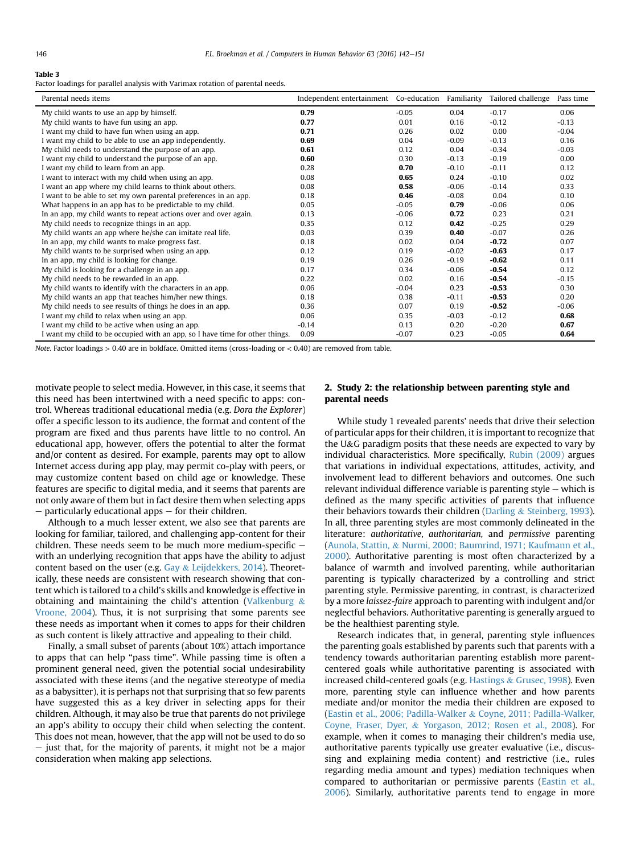#### <span id="page-4-0"></span>Table 3

Factor loadings for parallel analysis with Varimax rotation of parental needs.

| Parental needs items                                                         | Independent entertainment Co-education |         | Familiarity | Tailored challenge | Pass time |
|------------------------------------------------------------------------------|----------------------------------------|---------|-------------|--------------------|-----------|
| My child wants to use an app by himself.                                     | 0.79                                   | $-0.05$ | 0.04        | $-0.17$            | 0.06      |
| My child wants to have fun using an app.                                     | 0.77                                   | 0.01    | 0.16        | $-0.12$            | $-0.13$   |
| I want my child to have fun when using an app.                               | 0.71                                   | 0.26    | 0.02        | 0.00               | $-0.04$   |
| I want my child to be able to use an app independently.                      | 0.69                                   | 0.04    | $-0.09$     | $-0.13$            | 0.16      |
| My child needs to understand the purpose of an app.                          | 0.61                                   | 0.12    | 0.04        | $-0.34$            | $-0.03$   |
| I want my child to understand the purpose of an app.                         | 0.60                                   | 0.30    | $-0.13$     | $-0.19$            | 0.00      |
| I want my child to learn from an app.                                        | 0.28                                   | 0.70    | $-0.10$     | $-0.11$            | 0.12      |
| I want to interact with my child when using an app.                          | 0.08                                   | 0.65    | 0.24        | $-0.10$            | 0.02      |
| I want an app where my child learns to think about others.                   | 0.08                                   | 0.58    | $-0.06$     | $-0.14$            | 0.33      |
| I want to be able to set my own parental preferences in an app.              | 0.18                                   | 0.46    | $-0.08$     | 0.04               | 0.10      |
| What happens in an app has to be predictable to my child.                    | 0.05                                   | $-0.05$ | 0.79        | $-0.06$            | 0.06      |
| In an app, my child wants to repeat actions over and over again.             | 0.13                                   | $-0.06$ | 0.72        | 0.23               | 0.21      |
| My child needs to recognize things in an app.                                | 0.35                                   | 0.12    | 0.42        | $-0.25$            | 0.29      |
| My child wants an app where he/she can imitate real life.                    | 0.03                                   | 0.39    | 0.40        | $-0.07$            | 0.26      |
| In an app, my child wants to make progress fast.                             | 0.18                                   | 0.02    | 0.04        | $-0.72$            | 0.07      |
| My child wants to be surprised when using an app.                            | 0.12                                   | 0.19    | $-0.02$     | $-0.63$            | 0.17      |
| In an app, my child is looking for change.                                   | 0.19                                   | 0.26    | $-0.19$     | $-0.62$            | 0.11      |
| My child is looking for a challenge in an app.                               | 0.17                                   | 0.34    | $-0.06$     | $-0.54$            | 0.12      |
| My child needs to be rewarded in an app.                                     | 0.22                                   | 0.02    | 0.16        | $-0.54$            | $-0.15$   |
| My child wants to identify with the characters in an app.                    | 0.06                                   | $-0.04$ | 0.23        | $-0.53$            | 0.30      |
| My child wants an app that teaches him/her new things.                       | 0.18                                   | 0.38    | $-0.11$     | $-0.53$            | 0.20      |
| My child needs to see results of things he does in an app.                   | 0.36                                   | 0.07    | 0.19        | $-0.52$            | $-0.06$   |
| I want my child to relax when using an app.                                  | 0.06                                   | 0.35    | $-0.03$     | $-0.12$            | 0.68      |
| I want my child to be active when using an app.                              | $-0.14$                                | 0.13    | 0.20        | $-0.20$            | 0.67      |
| I want my child to be occupied with an app, so I have time for other things. | 0.09                                   | $-0.07$ | 0.23        | $-0.05$            | 0.64      |

Note. Factor loadings  $> 0.40$  are in boldface. Omitted items (cross-loading or  $< 0.40$ ) are removed from table.

motivate people to select media. However, in this case, it seems that this need has been intertwined with a need specific to apps: control. Whereas traditional educational media (e.g. Dora the Explorer) offer a specific lesson to its audience, the format and content of the program are fixed and thus parents have little to no control. An educational app, however, offers the potential to alter the format and/or content as desired. For example, parents may opt to allow Internet access during app play, may permit co-play with peers, or may customize content based on child age or knowledge. These features are specific to digital media, and it seems that parents are not only aware of them but in fact desire them when selecting apps  $-$  particularly educational apps  $-$  for their children.

Although to a much lesser extent, we also see that parents are looking for familiar, tailored, and challenging app-content for their children. These needs seem to be much more medium-specific  $$ with an underlying recognition that apps have the ability to adjust content based on the user (e.g. [Gay](#page-8-0) & [Leijdekkers, 2014\)](#page-8-0). Theoretically, these needs are consistent with research showing that content which is tailored to a child's skills and knowledge is effective in obtaining and maintaining the child's attention ([Valkenburg](#page-9-0)  $\&$ [Vroone, 2004](#page-9-0)). Thus, it is not surprising that some parents see these needs as important when it comes to apps for their children as such content is likely attractive and appealing to their child.

Finally, a small subset of parents (about 10%) attach importance to apps that can help "pass time". While passing time is often a prominent general need, given the potential social undesirability associated with these items (and the negative stereotype of media as a babysitter), it is perhaps not that surprising that so few parents have suggested this as a key driver in selecting apps for their children. Although, it may also be true that parents do not privilege an app's ability to occupy their child when selecting the content. This does not mean, however, that the app will not be used to do so  $-$  just that, for the majority of parents, it might not be a major consideration when making app selections.

## 2. Study 2: the relationship between parenting style and parental needs

While study 1 revealed parents' needs that drive their selection of particular apps for their children, it is important to recognize that the U&G paradigm posits that these needs are expected to vary by individual characteristics. More specifically, [Rubin \(2009\)](#page-9-0) argues that variations in individual expectations, attitudes, activity, and involvement lead to different behaviors and outcomes. One such relevant individual difference variable is parenting style  $-$  which is defined as the many specific activities of parents that influence their behaviors towards their children [\(Darling](#page-8-0) & [Steinberg, 1993\)](#page-8-0). In all, three parenting styles are most commonly delineated in the literature: authoritative, authoritarian, and permissive parenting ([Aunola, Stattin,](#page-8-0) & [Nurmi, 2000; Baumrind, 1971; Kaufmann et al.,](#page-8-0) [2000](#page-8-0)). Authoritative parenting is most often characterized by a balance of warmth and involved parenting, while authoritarian parenting is typically characterized by a controlling and strict parenting style. Permissive parenting, in contrast, is characterized by a more laissez-faire approach to parenting with indulgent and/or neglectful behaviors. Authoritative parenting is generally argued to be the healthiest parenting style.

Research indicates that, in general, parenting style influences the parenting goals established by parents such that parents with a tendency towards authoritarian parenting establish more parentcentered goals while authoritative parenting is associated with increased child-centered goals (e.g. [Hastings](#page-8-0) & [Grusec, 1998](#page-8-0)). Even more, parenting style can influence whether and how parents mediate and/or monitor the media their children are exposed to ([Eastin et al., 2006; Padilla-Walker](#page-8-0) & [Coyne, 2011; Padilla-Walker,](#page-8-0) [Coyne, Fraser, Dyer,](#page-8-0) & [Yorgason, 2012; Rosen et al., 2008\)](#page-8-0). For example, when it comes to managing their children's media use, authoritative parents typically use greater evaluative (i.e., discussing and explaining media content) and restrictive (i.e., rules regarding media amount and types) mediation techniques when compared to authoritarian or permissive parents [\(Eastin et al.,](#page-8-0) [2006](#page-8-0)). Similarly, authoritative parents tend to engage in more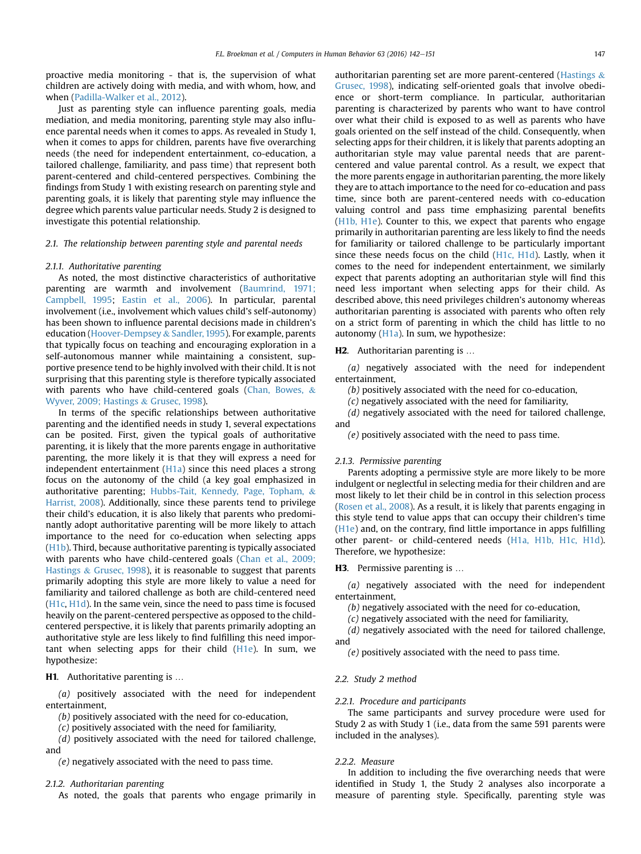proactive media monitoring - that is, the supervision of what children are actively doing with media, and with whom, how, and when [\(Padilla-Walker et al., 2012](#page-9-0)).

Just as parenting style can influence parenting goals, media mediation, and media monitoring, parenting style may also influence parental needs when it comes to apps. As revealed in Study 1, when it comes to apps for children, parents have five overarching needs (the need for independent entertainment, co-education, a tailored challenge, familiarity, and pass time) that represent both parent-centered and child-centered perspectives. Combining the findings from Study 1 with existing research on parenting style and parenting goals, it is likely that parenting style may influence the degree which parents value particular needs. Study 2 is designed to investigate this potential relationship.

#### 2.1. The relationship between parenting style and parental needs

#### 2.1.1. Authoritative parenting

As noted, the most distinctive characteristics of authoritative parenting are warmth and involvement ([Baumrind, 1971;](#page-8-0) [Campbell, 1995](#page-8-0); [Eastin et al., 2006\)](#page-8-0). In particular, parental involvement (i.e., involvement which values child's self-autonomy) has been shown to influence parental decisions made in children's education ([Hoover-Dempsey](#page-8-0) & [Sandler, 1995](#page-8-0)). For example, parents that typically focus on teaching and encouraging exploration in a self-autonomous manner while maintaining a consistent, supportive presence tend to be highly involved with their child. It is not surprising that this parenting style is therefore typically associated with parents who have child-centered goals ([Chan, Bowes,](#page-8-0) & [Wyver, 2009; Hastings](#page-8-0) & [Grusec, 1998](#page-8-0)).

In terms of the specific relationships between authoritative parenting and the identified needs in study 1, several expectations can be posited. First, given the typical goals of authoritative parenting, it is likely that the more parents engage in authoritative parenting, the more likely it is that they will express a need for independent entertainment  $(H1a)$  since this need places a strong focus on the autonomy of the child (a key goal emphasized in authoritative parenting; [Hubbs-Tait, Kennedy, Page, Topham,](#page-8-0) & [Harrist, 2008\)](#page-8-0). Additionally, since these parents tend to privilege their child's education, it is also likely that parents who predominantly adopt authoritative parenting will be more likely to attach importance to the need for co-education when selecting apps (H1b). Third, because authoritative parenting is typically associated with parents who have child-centered goals [\(Chan et al., 2009;](#page-8-0) [Hastings](#page-8-0) & [Grusec, 1998\)](#page-8-0), it is reasonable to suggest that parents primarily adopting this style are more likely to value a need for familiarity and tailored challenge as both are child-centered need  $(H1c, H1d)$ . In the same vein, since the need to pass time is focused heavily on the parent-centered perspective as opposed to the childcentered perspective, it is likely that parents primarily adopting an authoritative style are less likely to find fulfilling this need important when selecting apps for their child  $(H1e)$ . In sum, we hypothesize:

## H1. Authoritative parenting is …

(a) positively associated with the need for independent entertainment,

- (b) positively associated with the need for co-education,
- (c) positively associated with the need for familiarity,

(d) positively associated with the need for tailored challenge, and

(e) negatively associated with the need to pass time.

#### 2.1.2. Authoritarian parenting

As noted, the goals that parents who engage primarily in

authoritarian parenting set are more parent-centered ([Hastings](#page-8-0) & [Grusec, 1998](#page-8-0)), indicating self-oriented goals that involve obedience or short-term compliance. In particular, authoritarian parenting is characterized by parents who want to have control over what their child is exposed to as well as parents who have goals oriented on the self instead of the child. Consequently, when selecting apps for their children, it is likely that parents adopting an authoritarian style may value parental needs that are parentcentered and value parental control. As a result, we expect that the more parents engage in authoritarian parenting, the more likely they are to attach importance to the need for co-education and pass time, since both are parent-centered needs with co-education valuing control and pass time emphasizing parental benefits (H1b, H1e). Counter to this, we expect that parents who engage primarily in authoritarian parenting are less likely to find the needs for familiarity or tailored challenge to be particularly important since these needs focus on the child  $(H1c, H1d)$ . Lastly, when it comes to the need for independent entertainment, we similarly expect that parents adopting an authoritarian style will find this need less important when selecting apps for their child. As described above, this need privileges children's autonomy whereas authoritarian parenting is associated with parents who often rely on a strict form of parenting in which the child has little to no autonomy (H1a). In sum, we hypothesize:

#### H<sub>2</sub>. Authoritarian parenting is ...

(a) negatively associated with the need for independent entertainment,

(b) positively associated with the need for co-education,

(c) negatively associated with the need for familiarity,

(d) negatively associated with the need for tailored challenge, and

 $(e)$  positively associated with the need to pass time.

#### 2.1.3. Permissive parenting

Parents adopting a permissive style are more likely to be more indulgent or neglectful in selecting media for their children and are most likely to let their child be in control in this selection process ([Rosen et al., 2008\)](#page-9-0). As a result, it is likely that parents engaging in this style tend to value apps that can occupy their children's time (H1e) and, on the contrary, find little importance in apps fulfilling other parent- or child-centered needs (H1a, H1b, H1c, H1d). Therefore, we hypothesize:

## H3. Permissive parenting is ...

(a) negatively associated with the need for independent entertainment,

- (b) negatively associated with the need for co-education,
- (c) negatively associated with the need for familiarity,

(d) negatively associated with the need for tailored challenge, and

 $(e)$  positively associated with the need to pass time.

## 2.2. Study 2 method

#### 2.2.1. Procedure and participants

The same participants and survey procedure were used for Study 2 as with Study 1 (i.e., data from the same 591 parents were included in the analyses).

## 2.2.2. Measure

In addition to including the five overarching needs that were identified in Study 1, the Study 2 analyses also incorporate a measure of parenting style. Specifically, parenting style was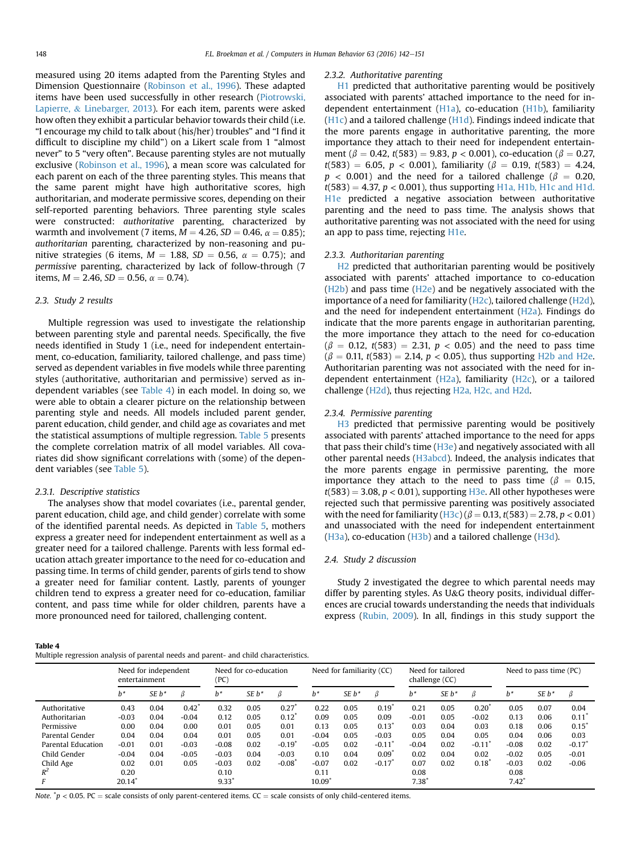measured using 20 items adapted from the Parenting Styles and Dimension Questionnaire [\(Robinson et al., 1996](#page-9-0)). These adapted items have been used successfully in other research ([Piotrowski,](#page-9-0) [Lapierre,](#page-9-0) & [Linebarger, 2013\)](#page-9-0). For each item, parents were asked how often they exhibit a particular behavior towards their child (i.e. "I encourage my child to talk about (his/her) troubles" and "I find it difficult to discipline my child") on a Likert scale from 1 "almost never" to 5 "very often". Because parenting styles are not mutually exclusive [\(Robinson et al., 1996\)](#page-9-0), a mean score was calculated for each parent on each of the three parenting styles. This means that the same parent might have high authoritative scores, high authoritarian, and moderate permissive scores, depending on their self-reported parenting behaviors. Three parenting style scales were constructed: authoritative parenting, characterized by warmth and involvement (7 items,  $M = 4.26$ ,  $SD = 0.46$ ,  $\alpha = 0.85$ ); authoritarian parenting, characterized by non-reasoning and punitive strategies (6 items,  $M = 1.88$ ,  $SD = 0.56$ ,  $\alpha = 0.75$ ); and permissive parenting, characterized by lack of follow-through (7 items,  $M = 2.46$ ,  $SD = 0.56$ ,  $\alpha = 0.74$ ).

#### 2.3. Study 2 results

Multiple regression was used to investigate the relationship between parenting style and parental needs. Specifically, the five needs identified in Study 1 (i.e., need for independent entertainment, co-education, familiarity, tailored challenge, and pass time) served as dependent variables in five models while three parenting styles (authoritative, authoritarian and permissive) served as independent variables (see Table 4) in each model. In doing so, we were able to obtain a clearer picture on the relationship between parenting style and needs. All models included parent gender, parent education, child gender, and child age as covariates and met the statistical assumptions of multiple regression. [Table 5](#page-7-0) presents the complete correlation matrix of all model variables. All covariates did show significant correlations with (some) of the dependent variables (see [Table 5](#page-7-0)).

#### 2.3.1. Descriptive statistics

The analyses show that model covariates (i.e., parental gender, parent education, child age, and child gender) correlate with some of the identified parental needs. As depicted in [Table 5](#page-7-0), mothers express a greater need for independent entertainment as well as a greater need for a tailored challenge. Parents with less formal education attach greater importance to the need for co-education and passing time. In terms of child gender, parents of girls tend to show a greater need for familiar content. Lastly, parents of younger children tend to express a greater need for co-education, familiar content, and pass time while for older children, parents have a more pronounced need for tailored, challenging content.

#### 2.3.2. Authoritative parenting

H1 predicted that authoritative parenting would be positively associated with parents' attached importance to the need for independent entertainment (H1a), co-education (H1b), familiarity (H1c) and a tailored challenge (H1d). Findings indeed indicate that the more parents engage in authoritative parenting, the more importance they attach to their need for independent entertainment ( $\beta = 0.42$ , t(583) = 9.83, p < 0.001), co-education ( $\beta = 0.27$ ,  $t(583) = 6.05$ ,  $p < 0.001$ ), familiarity ( $\beta = 0.19$ ,  $t(583) = 4.24$ ,  $p < 0.001$ ) and the need for a tailored challenge ( $\beta = 0.20$ ,  $t(583) = 4.37$ ,  $p < 0.001$ ), thus supporting H1a, H1b, H1c and H1d. H1e predicted a negative association between authoritative parenting and the need to pass time. The analysis shows that authoritative parenting was not associated with the need for using an app to pass time, rejecting H1e.

#### 2.3.3. Authoritarian parenting

H<sub>2</sub> predicted that authoritarian parenting would be positively associated with parents' attached importance to co-education  $(H2b)$  and pass time  $(H2e)$  and be negatively associated with the importance of a need for familiarity ( $H2c$ ), tailored challenge ( $H2d$ ), and the need for independent entertainment (H2a). Findings do indicate that the more parents engage in authoritarian parenting, the more importance they attach to the need for co-education  $(\beta = 0.12, t(583) = 2.31, p < 0.05)$  and the need to pass time  $(\beta = 0.11, t(583) = 2.14, p < 0.05)$ , thus supporting H2b and H2e. Authoritarian parenting was not associated with the need for independent entertainment ( $H2a$ ), familiarity ( $H2c$ ), or a tailored challenge (H2d), thus rejecting H2a, H2c, and H2d.

#### 2.3.4. Permissive parenting

H<sub>3</sub> predicted that permissive parenting would be positively associated with parents' attached importance to the need for apps that pass their child's time (H3e) and negatively associated with all other parental needs (H3abcd). Indeed, the analysis indicates that the more parents engage in permissive parenting, the more importance they attach to the need to pass time ( $\beta = 0.15$ ,  $t(583) = 3.08$ ,  $p < 0.01$ ), supporting H<sub>3</sub>e. All other hypotheses were rejected such that permissive parenting was positively associated with the need for familiarity (H3c) ( $\beta = 0.13$ , t(583) = 2.78, p < 0.01) and unassociated with the need for independent entertainment (H3a), co-education (H3b) and a tailored challenge (H3d).

#### 2.4. Study 2 discussion

Study 2 investigated the degree to which parental needs may differ by parenting styles. As U&G theory posits, individual differences are crucial towards understanding the needs that individuals express [\(Rubin, 2009](#page-9-0)). In all, findings in this study support the

|--|--|

Multiple regression analysis of parental needs and parent- and child characteristics.

|                    | Need for independent<br>entertainment |         |          | Need for co-education<br>(PC) |         |                      | Need for familiarity (CC) |         |                     | Need for tailored<br>challenge (CC) |         |                | Need to pass time (PC) |         |         |
|--------------------|---------------------------------------|---------|----------|-------------------------------|---------|----------------------|---------------------------|---------|---------------------|-------------------------------------|---------|----------------|------------------------|---------|---------|
|                    | $b^*$                                 | $SE b*$ |          | $b^*$                         | $SE b*$ | ß                    | $b^*$                     | $SE b*$ | ß                   | $b^*$                               | $SE b*$ |                | $h^*$                  | $SE b*$ |         |
| Authoritative      | 0.43                                  | 0.04    | $0.42^*$ | 0.32                          | 0.05    | $0.27$ <sup>*</sup>  | 0.22                      | 0.05    | 0.19''              | 0.21                                | 0.05    | $0.20^{\circ}$ | 0.05                   | 0.07    | 0.04    |
| Authoritarian      | $-0.03$                               | 0.04    | $-0.04$  | 0.12                          | 0.05    | $0.12^{\circ}$       | 0.09                      | 0.05    | 0.09                | $-0.01$                             | 0.05    | $-0.02$        | 0.13                   | 0.06    | 0.11'   |
| Permissive         | 0.00                                  | 0.04    | 0.00     | 0.01                          | 0.05    | 0.01                 | 0.13                      | 0.05    | $0.13$ <sup>*</sup> | 0.03                                | 0.04    | 0.03           | 0.18                   | 0.06    | 0.15    |
| Parental Gender    | 0.04                                  | 0.04    | 0.04     | 0.01                          | 0.05    | 0.01                 | $-0.04$                   | 0.05    | $-0.03$             | 0.05                                | 0.04    | 0.05           | 0.04                   | 0.06    | 0.03    |
| Parental Education | $-0.01$                               | 0.01    | $-0.03$  | $-0.08$                       | 0.02    | $-0.19$ <sup>*</sup> | $-0.05$                   | 0.02    | $-0.11$             | $-0.04$                             | 0.02    | $-0.11$        | $-0.08$                | 0.02    | $-0.17$ |
| Child Gender       | $-0.04$                               | 0.04    | $-0.05$  | $-0.03$                       | 0.04    | $-0.03$              | 0.10                      | 0.04    | 0.09                | 0.02                                | 0.04    | 0.02           | $-0.02$                | 0.05    | $-0.01$ |
| Child Age          | 0.02                                  | 0.01    | 0.05     | $-0.03$                       | 0.02    | $-0.08"$             | $-0.07$                   | 0.02    | $-0.17'$            | 0.07                                | 0.02    | $0.18^*$       | $-0.03$                | 0.02    | $-0.06$ |
| $R^2$              | 0.20                                  |         |          | 0.10                          |         |                      | 0.11                      |         |                     | 0.08                                |         |                | 0.08                   |         |         |
|                    | $20.14*$                              |         |          | $9.33*$                       |         |                      | 10.09'                    |         |                     | $7.38*$                             |         |                | $7.42^*$               |         |         |

Note.  $\degree{p}$  < 0.05. PC = scale consists of only parent-centered items. CC = scale consists of only child-centered items.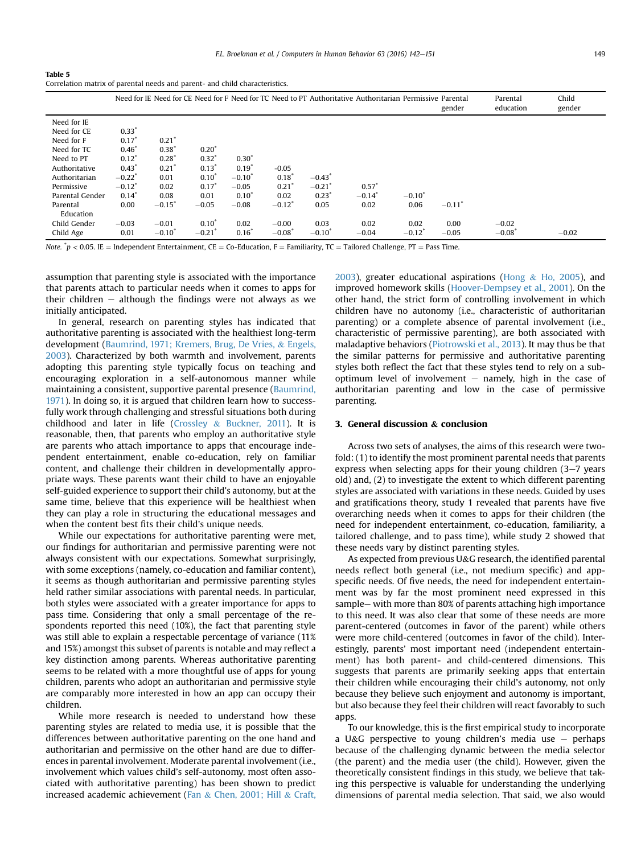<span id="page-7-0"></span>

| Table 5                                                                     |
|-----------------------------------------------------------------------------|
| Correlation matrix of parental needs and parent- and child characteristics. |

|                 |                      |                      |                      |            |                      |                      | Need for IE Need for CE Need for F Need for TC Need to PT Authoritative Authoritarian Permissive Parental |           | gender               | Parental<br>education | Child<br>gender |
|-----------------|----------------------|----------------------|----------------------|------------|----------------------|----------------------|-----------------------------------------------------------------------------------------------------------|-----------|----------------------|-----------------------|-----------------|
| Need for IE     |                      |                      |                      |            |                      |                      |                                                                                                           |           |                      |                       |                 |
| Need for CE     | $0.33*$              |                      |                      |            |                      |                      |                                                                                                           |           |                      |                       |                 |
| Need for F      | $0.17*$              | $0.21$ <sup>*</sup>  |                      |            |                      |                      |                                                                                                           |           |                      |                       |                 |
| Need for TC     | $0.46*$              | 0.38"                | $0.20^*$             |            |                      |                      |                                                                                                           |           |                      |                       |                 |
| Need to PT      | $0.12*$              | $0.28$ <sup>*</sup>  | $0.32^*$             | $0.30*$    |                      |                      |                                                                                                           |           |                      |                       |                 |
| Authoritative   | $0.43*$              | $0.21$ <sup>*</sup>  | $0.13*$              | $0.19*$    | $-0.05$              |                      |                                                                                                           |           |                      |                       |                 |
| Authoritarian   | $-0.22$ <sup>*</sup> | 0.01                 | $0.10^{*}$           | $-0.10*$   | $0.18*$              | $-0.43$ <sup>*</sup> |                                                                                                           |           |                      |                       |                 |
| Permissive      | $-0.12$ <sup>*</sup> | 0.02                 | $0.17$ <sup>*</sup>  | $-0.05$    | $0.21*$              | $-0.21$ <sup>*</sup> | $0.57*$                                                                                                   |           |                      |                       |                 |
| Parental Gender | $0.14^{\degree}$     | 0.08                 | 0.01                 | $0.10^{*}$ | 0.02                 | $0.23$ <sup>*</sup>  | $-0.14$ <sup>*</sup>                                                                                      | $-0.10^*$ |                      |                       |                 |
| Parental        | 0.00                 | $-0.15$ <sup>*</sup> | $-0.05$              | $-0.08$    | $-0.12$ <sup>*</sup> | 0.05                 | 0.02                                                                                                      | 0.06      | $-0.11$ <sup>*</sup> |                       |                 |
| Education       |                      |                      |                      |            |                      |                      |                                                                                                           |           |                      |                       |                 |
| Child Gender    | $-0.03$              | $-0.01$              | $0.10*$              | 0.02       | $-0.00$              | 0.03                 | 0.02                                                                                                      | 0.02      | 0.00                 | $-0.02$               |                 |
| Child Age       | 0.01                 | $-0.10^*$            | $-0.21$ <sup>*</sup> | $0.16*$    | $-0.08*$             | $-0.10^*$            | $-0.04$                                                                                                   | $-0.12^*$ | $-0.05$              | $-0.08$ <sup>*</sup>  | $-0.02$         |

Note.  $^*p$  < 0.05. IE  $=$  Independent Entertainment, CE  $=$  Co-Education, F  $=$  Familiarity, TC  $=$  Tailored Challenge, PT  $=$  Pass Time.

assumption that parenting style is associated with the importance that parents attach to particular needs when it comes to apps for their children  $-$  although the findings were not always as we initially anticipated.

In general, research on parenting styles has indicated that authoritative parenting is associated with the healthiest long-term development [\(Baumrind, 1971; Kremers, Brug, De Vries,](#page-8-0) & [Engels,](#page-8-0) [2003\)](#page-8-0). Characterized by both warmth and involvement, parents adopting this parenting style typically focus on teaching and encouraging exploration in a self-autonomous manner while maintaining a consistent, supportive parental presence [\(Baumrind,](#page-8-0) [1971\)](#page-8-0). In doing so, it is argued that children learn how to successfully work through challenging and stressful situations both during childhood and later in life ([Crossley](#page-8-0) & [Buckner, 2011](#page-8-0)). It is reasonable, then, that parents who employ an authoritative style are parents who attach importance to apps that encourage independent entertainment, enable co-education, rely on familiar content, and challenge their children in developmentally appropriate ways. These parents want their child to have an enjoyable self-guided experience to support their child's autonomy, but at the same time, believe that this experience will be healthiest when they can play a role in structuring the educational messages and when the content best fits their child's unique needs.

While our expectations for authoritative parenting were met, our findings for authoritarian and permissive parenting were not always consistent with our expectations. Somewhat surprisingly, with some exceptions (namely, co-education and familiar content), it seems as though authoritarian and permissive parenting styles held rather similar associations with parental needs. In particular, both styles were associated with a greater importance for apps to pass time. Considering that only a small percentage of the respondents reported this need (10%), the fact that parenting style was still able to explain a respectable percentage of variance (11% and 15%) amongst this subset of parents is notable and may reflect a key distinction among parents. Whereas authoritative parenting seems to be related with a more thoughtful use of apps for young children, parents who adopt an authoritarian and permissive style are comparably more interested in how an app can occupy their children.

While more research is needed to understand how these parenting styles are related to media use, it is possible that the differences between authoritative parenting on the one hand and authoritarian and permissive on the other hand are due to differences in parental involvement. Moderate parental involvement (i.e., involvement which values child's self-autonomy, most often associated with authoritative parenting) has been shown to predict increased academic achievement ([Fan](#page-8-0) & [Chen, 2001; Hill](#page-8-0) & [Craft,](#page-8-0)

[2003\)](#page-8-0), greater educational aspirations ([Hong](#page-8-0)  $&$  [Ho, 2005](#page-8-0)), and improved homework skills [\(Hoover-Dempsey et al., 2001](#page-8-0)). On the other hand, the strict form of controlling involvement in which children have no autonomy (i.e., characteristic of authoritarian parenting) or a complete absence of parental involvement (i.e., characteristic of permissive parenting), are both associated with maladaptive behaviors ([Piotrowski et al., 2013](#page-9-0)). It may thus be that the similar patterns for permissive and authoritative parenting styles both reflect the fact that these styles tend to rely on a suboptimum level of involvement  $-$  namely, high in the case of authoritarian parenting and low in the case of permissive parenting.

#### 3. General discussion & conclusion

Across two sets of analyses, the aims of this research were twofold: (1) to identify the most prominent parental needs that parents express when selecting apps for their young children  $(3-7)$  years old) and, (2) to investigate the extent to which different parenting styles are associated with variations in these needs. Guided by uses and gratifications theory, study 1 revealed that parents have five overarching needs when it comes to apps for their children (the need for independent entertainment, co-education, familiarity, a tailored challenge, and to pass time), while study 2 showed that these needs vary by distinct parenting styles.

As expected from previous U&G research, the identified parental needs reflect both general (i.e., not medium specific) and appspecific needs. Of five needs, the need for independent entertainment was by far the most prominent need expressed in this sample- with more than 80% of parents attaching high importance to this need. It was also clear that some of these needs are more parent-centered (outcomes in favor of the parent) while others were more child-centered (outcomes in favor of the child). Interestingly, parents' most important need (independent entertainment) has both parent- and child-centered dimensions. This suggests that parents are primarily seeking apps that entertain their children while encouraging their child's autonomy, not only because they believe such enjoyment and autonomy is important, but also because they feel their children will react favorably to such apps.

To our knowledge, this is the first empirical study to incorporate a U&G perspective to young children's media use  $-$  perhaps because of the challenging dynamic between the media selector (the parent) and the media user (the child). However, given the theoretically consistent findings in this study, we believe that taking this perspective is valuable for understanding the underlying dimensions of parental media selection. That said, we also would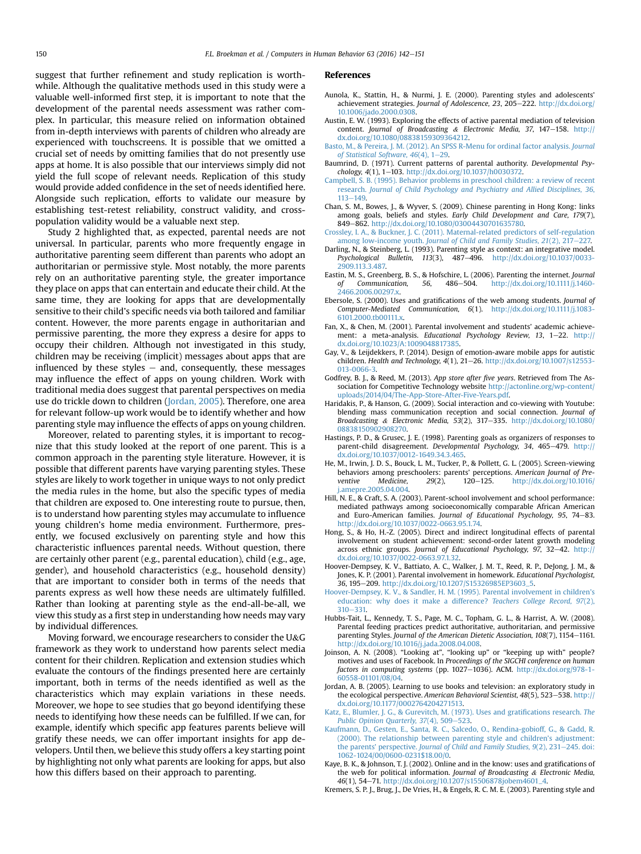<span id="page-8-0"></span>suggest that further refinement and study replication is worthwhile. Although the qualitative methods used in this study were a valuable well-informed first step, it is important to note that the development of the parental needs assessment was rather complex. In particular, this measure relied on information obtained from in-depth interviews with parents of children who already are experienced with touchscreens. It is possible that we omitted a crucial set of needs by omitting families that do not presently use apps at home. It is also possible that our interviews simply did not yield the full scope of relevant needs. Replication of this study would provide added confidence in the set of needs identified here. Alongside such replication, efforts to validate our measure by establishing test-retest reliability, construct validity, and crosspopulation validity would be a valuable next step.

Study 2 highlighted that, as expected, parental needs are not universal. In particular, parents who more frequently engage in authoritative parenting seem different than parents who adopt an authoritarian or permissive style. Most notably, the more parents rely on an authoritative parenting style, the greater importance they place on apps that can entertain and educate their child. At the same time, they are looking for apps that are developmentally sensitive to their child's specific needs via both tailored and familiar content. However, the more parents engage in authoritarian and permissive parenting, the more they express a desire for apps to occupy their children. Although not investigated in this study, children may be receiving (implicit) messages about apps that are influenced by these styles  $-$  and, consequently, these messages may influence the effect of apps on young children. Work with traditional media does suggest that parental perspectives on media use do trickle down to children (Jordan, 2005). Therefore, one area for relevant follow-up work would be to identify whether and how parenting style may influence the effects of apps on young children.

Moreover, related to parenting styles, it is important to recognize that this study looked at the report of one parent. This is a common approach in the parenting style literature. However, it is possible that different parents have varying parenting styles. These styles are likely to work together in unique ways to not only predict the media rules in the home, but also the specific types of media that children are exposed to. One interesting route to pursue, then, is to understand how parenting styles may accumulate to influence young children's home media environment. Furthermore, presently, we focused exclusively on parenting style and how this characteristic influences parental needs. Without question, there are certainly other parent (e.g., parental education), child (e.g., age, gender), and household characteristics (e.g., household density) that are important to consider both in terms of the needs that parents express as well how these needs are ultimately fulfilled. Rather than looking at parenting style as the end-all-be-all, we view this study as a first step in understanding how needs may vary by individual differences.

Moving forward, we encourage researchers to consider the U&G framework as they work to understand how parents select media content for their children. Replication and extension studies which evaluate the contours of the findings presented here are certainly important, both in terms of the needs identified as well as the characteristics which may explain variations in these needs. Moreover, we hope to see studies that go beyond identifying these needs to identifying how these needs can be fulfilled. If we can, for example, identify which specific app features parents believe will gratify these needs, we can offer important insights for app developers. Until then, we believe this study offers a key starting point by highlighting not only what parents are looking for apps, but also how this differs based on their approach to parenting.

#### References

- Aunola, K., Stattin, H., & Nurmi, J. E. (2000). Parenting styles and adolescents' achievement strategies. Journal of Adolescence, 23, 205-222. [http://dx.doi.org/](http://dx.doi.org/10.1006/jado.2000.0308) [10.1006/jado.2000.0308](http://dx.doi.org/10.1006/jado.2000.0308).
- Austin, E. W. (1993). Exploring the effects of active parental mediation of television content. Journal of Broadcasting & Electronic Media, 37, 147-158. [http://](http://dx.doi.org/10.1080/08838159309364212) [dx.doi.org/10.1080/08838159309364212](http://dx.doi.org/10.1080/08838159309364212).
- [Basto, M., & Pereira, J. M. \(2012\). An SPSS R-Menu for ordinal factor analysis.](http://refhub.elsevier.com/S0747-5632(16)30341-7/sref3) Journal of Statistical Software,  $46(4)$ ,  $1-29$  $1-29$ .
- Baumrind, D. (1971). Current patterns of parental authority. Developmental Psychology, 4(1), 1-103. <http://dx.doi.org/10.1037/h0030372>.
- [Campbell, S. B. \(1995\). Behavior problems in preschool children: a review of recent](http://refhub.elsevier.com/S0747-5632(16)30341-7/sref156) research. [Journal of Child Psychology and Psychiatry and Allied Disciplines, 36](http://refhub.elsevier.com/S0747-5632(16)30341-7/sref156), [113](http://refhub.elsevier.com/S0747-5632(16)30341-7/sref156)-149
- Chan, S. M., Bowes, J., & Wyver, S. (2009). Chinese parenting in Hong Kong: links among goals, beliefs and styles. Early Child Development and Care, 179(7), 849-862. [http://dx.doi.org/10.1080/03004430701635780.](http://dx.doi.org/10.1080/03004430701635780)
- [Crossley, I. A., & Buckner, J. C. \(2011\). Maternal-related predictors of self-regulation](http://refhub.elsevier.com/S0747-5632(16)30341-7/sref6) among low-income youth. [Journal of Child and Family Studies, 21](http://refhub.elsevier.com/S0747-5632(16)30341-7/sref6)(2), 217-[227.](http://refhub.elsevier.com/S0747-5632(16)30341-7/sref6)
- Darling, N., & Steinberg, L. (1993). Parenting style as context: an integrative model. Psychological Bulletin, 113(3), 487-496. [http://dx.doi.org/10.1037/0033-](http://dx.doi.org/10.1037/0033-2909.113.3.487) [2909.113.3.487.](http://dx.doi.org/10.1037/0033-2909.113.3.487)
- Eastin, M. S., Greenberg, B. S., & Hofschire, L. (2006). Parenting the internet. Journal of Communication, 56, 486–504. http://dx.doi.org/10.1111/j.1460of Communication, 56, 486-504. [http://dx.doi.org/10.1111/j.1460-](http://dx.doi.org/10.1111/j.1460-2466.2006.00297.x) [2466.2006.00297.x](http://dx.doi.org/10.1111/j.1460-2466.2006.00297.x).
- Ebersole, S. (2000). Uses and gratifications of the web among students. Journal of Computer-Mediated Communication, 6(1). [http://dx.doi.org/10.1111/j.1083-](http://dx.doi.org/10.1111/j.1083-6101.2000.tb00111.x) [6101.2000.tb00111.x.](http://dx.doi.org/10.1111/j.1083-6101.2000.tb00111.x)
- Fan, X., & Chen, M. (2001). Parental involvement and students' academic achievement: a meta-analysis. Educational Psychology Review, 13, 1-22. [http://](http://dx.doi.org/10.1023/A:1009048817385) [dx.doi.org/10.1023/A:1009048817385.](http://dx.doi.org/10.1023/A:1009048817385)
- Gay, V., & Leijdekkers, P. (2014). Design of emotion-aware mobile apps for autistic children. Health and Technology,  $\overline{A}(1)$ , 21-26. [http://dx.doi.org/10.1007/s12553-](http://dx.doi.org/10.1007/s12553-013-0066-3) [013-0066-3](http://dx.doi.org/10.1007/s12553-013-0066-3).
- Godfrey, B. J., & Reed, M. (2013). App store after five years. Retrieved from The Association for Competitive Technology website [http://actonline.org/wp-content/](http://actonline.org/wp-content/uploads/2014/04/The-App-Store-After-Five-Years.pdf) [uploads/2014/04/The-App-Store-After-Five-Years.pdf.](http://actonline.org/wp-content/uploads/2014/04/The-App-Store-After-Five-Years.pdf)
- Haridakis, P., & Hanson, G. (2009). Social interaction and co-viewing with Youtube: blending mass communication reception and social connection. Journal of Broadcasting & Electronic Media, 53(2), 317-335. [http://dx.doi.org/10.1080/](http://dx.doi.org/10.1080/08838150902908270) [08838150902908270.](http://dx.doi.org/10.1080/08838150902908270)
- Hastings, P. D., & Grusec, J. E. (1998). Parenting goals as organizers of responses to parent-child disagreement. Developmental Psychology, 34, 465-479. [http://](http://dx.doi.org/10.1037/0012-1649.34.3.465) [dx.doi.org/10.1037/0012-1649.34.3.465](http://dx.doi.org/10.1037/0012-1649.34.3.465).
- He, M., Irwin, J. D. S., Bouck, L. M., Tucker, P., & Pollett, G. L. (2005). Screen-viewing behaviors among preschoolers: parents' perceptions. American Journal of Preventive Medicine, 29(2), 120-125. [http://dx.doi.org/10.1016/](http://dx.doi.org/10.1016/j.amepre.2005.04.004) amepre.2005.04.004
- Hill, N. E., & Craft, S. A. (2003). Parent-school involvement and school performance: mediated pathways among socioeconomically comparable African American and Euro-American families. Journal of Educational Psychology, 95, 74-83. <http://dx.doi.org/10.1037/0022-0663.95.1.74>.
- Hong, S., & Ho, H.-Z. (2005). Direct and indirect longitudinal effects of parental involvement on student achievement: second-order latent growth modeling across ethnic groups. Journal of Educational Psychology, 97, 32-42. [http://](http://dx.doi.org/10.1037/0022-0663.97.1.32) [dx.doi.org/10.1037/0022-0663.97.1.32.](http://dx.doi.org/10.1037/0022-0663.97.1.32)
- Hoover-Dempsey, K. V., Battiato, A. C., Walker, J. M. T., Reed, R. P., DeJong, J. M., & Jones, K. P. (2001). Parental involvement in homework. Educational Psychologist, 36, 195-209. [http://dx.doi.org/10.1207/S15326985EP3603\\_5](http://dx.doi.org/10.1207/S15326985EP3603_5).
- [Hoover-Dempsey, K. V., & Sandler, H. M. \(1995\). Parental involvement in children](http://refhub.elsevier.com/S0747-5632(16)30341-7/sref19)'s [education: why does it make a difference?](http://refhub.elsevier.com/S0747-5632(16)30341-7/sref19) Teachers College Record, 97(2),  $310 - 331$  $310 - 331$
- Hubbs-Tait, L., Kennedy, T. S., Page, M. C., Topham, G. L., & Harrist, A. W. (2008). Parental feeding practices predict authoritative, authoritarian, and permissive parenting Styles. Journal of the American Dietetic Association, 108(7), 1154-1161. [http://dx.doi.org/10.1016/j.jada.2008.04.008.](http://dx.doi.org/10.1016/j.jada.2008.04.008)
- Joinson, A. N. (2008). "Looking at", "looking up" or "keeping up with" people? motives and uses of Facebook. In Proceedings of the SIGCHI conference on human factors in computing systems (pp. 1027-1036). ACM. [http://dx.doi.org/978-1-](http://dx.doi.org/978-1-60558-01101/08/04) [60558-01101/08/04.](http://dx.doi.org/978-1-60558-01101/08/04)
- Jordan, A. B. (2005). Learning to use books and television: an exploratory study in the ecological perspective. American Behavioral Scientist,  $48(5)$ , 523-538. [http://](http://dx.doi.org/10.1177/0002764204271513) [dx.doi.org/10.1177/0002764204271513.](http://dx.doi.org/10.1177/0002764204271513)
- [Katz, E., Blumler, J. G., & Gurevitch, M. \(1973\). Uses and grati](http://refhub.elsevier.com/S0747-5632(16)30341-7/sref23)fications research. The [Public Opinion Quarterly, 37](http://refhub.elsevier.com/S0747-5632(16)30341-7/sref23)(4), 509–[523](http://refhub.elsevier.com/S0747-5632(16)30341-7/sref23).
- [Kaufmann, D., Gesten, E., Santa, R. C., Salcedo, O., Rendina-gobioff, G., & Gadd, R.](http://refhub.elsevier.com/S0747-5632(16)30341-7/sref24) [\(2000\). The relationship between parenting style and children](http://refhub.elsevier.com/S0747-5632(16)30341-7/sref24)'s adjustment: the parents' perspective. [Journal of Child and Family Studies, 9](http://refhub.elsevier.com/S0747-5632(16)30341-7/sref24)(2), 231-[245. doi:](http://refhub.elsevier.com/S0747-5632(16)30341-7/sref24) [1062-1024/00/0600-0231\\$18.00/0](http://refhub.elsevier.com/S0747-5632(16)30341-7/sref24).
- Kaye, B. K., & Johnson, T. J. (2002). Online and in the know: uses and gratifications of the web for political information. Journal of Broadcasting & Electronic Media, 46(1), 54-71. http://dx.doi.org/10.1207/s15506878jobem4601\_4
- Kremers, S. P. J., Brug, J., De Vries, H., & Engels, R. C. M. E. (2003). Parenting style and